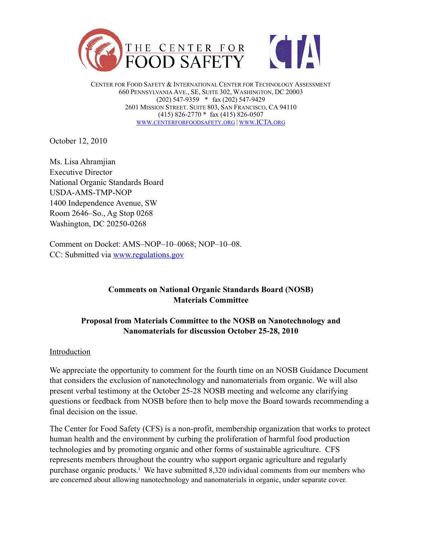

CENTER FOR FOOD SAFETY & INTERNATIONAL CENTER FOR TECHNOLOGY ASSESSMENT 660 PENNSYLVANIA AVE., SE, SUITE 302, WASHINGTON, DC 20003 (202) 547-9359 \* fax (202) 547-9429 2601 MISSION STREET. SUITE 803, SAN FRANCISCO, CA 94110 (415) 826-2770 \* fax (415) 826-0507 [WWW.CENTERFORFOODSAFETY.ORG](http://www.centerforfoodsafety.org) | [WWW.ICTA.ORG](http://www.ICTA.org)

October 12, 2010

Ms. Lisa Ahramjian Executive Director National Organic Standards Board USDA-AMS-TMP-NOP 1400 Independence Avenue, SW Room 2646–So., Ag Stop 0268 Washington, DC 20250-0268

Comment on Docket: AMS–NOP–10–0068; NOP–10–08. CC: Submitted via [www.regulations.gov](http://www.regulations.gov)

# **Comments on National Organic Standards Board (NOSB) Materials Committee**

## **Proposal from Materials Committee to the NOSB on Nanotechnology and Nanomaterials for discussion October 25-28, 2010**

#### Introduction

We appreciate the opportunity to comment for the fourth time on an NOSB Guidance Document that considers the exclusion of nanotechnology and nanomaterials from organic. We will also present verbal testimony at the October 25-28 NOSB meeting and welcome any clarifying questions or feedback from NOSB before then to help move the Board towards recommending a final decision on the issue.

The Center for Food Safety (CFS) is a non-profit, membership organization that works to protect human health and the environment by curbing the proliferation of harmful food production technologies and by promoting organic and other forms of sustainable agriculture. CFS represents members throughout the country who support organic agriculture and regularly purchase organ[i](#page-5-0)c products.<sup>1</sup> We have submitted 8,320 individual comments from our members who are concerned about allowing nanotechnology and nanomaterials in organic, under separate cover.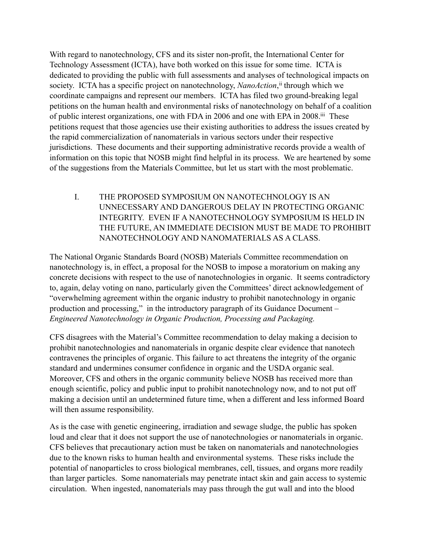With regard to nanotechnology, CFS and its sister non-profit, the International Center for Technology Assessment (ICTA), have both worked on this issue for some time. ICTA is dedicated to providing the public with full assessments and analyses of technological impacts on society. ICTA has a specific project on nanotechnology, *NanoAction*, [ii](#page-5-1) through which we coordinate campaigns and represent our members. ICTA has filed two ground-breaking legal petitions on the human health and environmental risks of nanotechnology on behalf of a coalition of public interest organizations, one with FDA in 2006 and one with EPA in 2008[.iii](#page-5-2) These petitions request that those agencies use their existing authorities to address the issues created by the rapid commercialization of nanomaterials in various sectors under their respective jurisdictions. These documents and their supporting administrative records provide a wealth of information on this topic that NOSB might find helpful in its process. We are heartened by some of the suggestions from the Materials Committee, but let us start with the most problematic.

I. THE PROPOSED SYMPOSIUM ON NANOTECHNOLOGY IS AN UNNECESSARY AND DANGEROUS DELAY IN PROTECTING ORGANIC INTEGRITY. EVEN IF A NANOTECHNOLOGY SYMPOSIUM IS HELD IN THE FUTURE, AN IMMEDIATE DECISION MUST BE MADE TO PROHIBIT NANOTECHNOLOGY AND NANOMATERIALS AS A CLASS.

The National Organic Standards Board (NOSB) Materials Committee recommendation on nanotechnology is, in effect, a proposal for the NOSB to impose a moratorium on making any concrete decisions with respect to the use of nanotechnologies in organic. It seems contradictory to, again, delay voting on nano, particularly given the Committees' direct acknowledgement of "overwhelming agreement within the organic industry to prohibit nanotechnology in organic production and processing," in the introductory paragraph of its Guidance Document – *Engineered Nanotechnology in Organic Production, Processing and Packaging.* 

CFS disagrees with the Material's Committee recommendation to delay making a decision to prohibit nanotechnologies and nanomaterials in organic despite clear evidence that nanotech contravenes the principles of organic. This failure to act threatens the integrity of the organic standard and undermines consumer confidence in organic and the USDA organic seal. Moreover, CFS and others in the organic community believe NOSB has received more than enough scientific, policy and public input to prohibit nanotechnology now, and to not put off making a decision until an undetermined future time, when a different and less informed Board will then assume responsibility.

As is the case with genetic engineering, irradiation and sewage sludge, the public has spoken loud and clear that it does not support the use of nanotechnologies or nanomaterials in organic. CFS believes that precautionary action must be taken on nanomaterials and nanotechnologies due to the known risks to human health and environmental systems. These risks include the potential of nanoparticles to cross biological membranes, cell, tissues, and organs more readily than larger particles. Some nanomaterials may penetrate intact skin and gain access to systemic circulation. When ingested, nanomaterials may pass through the gut wall and into the blood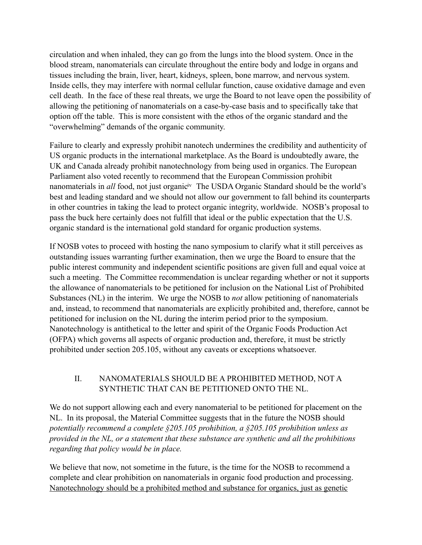circulation and when inhaled, they can go from the lungs into the blood system. Once in the blood stream, nanomaterials can circulate throughout the entire body and lodge in organs and tissues including the brain, liver, heart, kidneys, spleen, bone marrow, and nervous system. Inside cells, they may interfere with normal cellular function, cause oxidative damage and even cell death. In the face of these real threats, we urge the Board to not leave open the possibility of allowing the petitioning of nanomaterials on a case-by-case basis and to specifically take that option off the table. This is more consistent with the ethos of the organic standard and the "overwhelming" demands of the organic community.

Failure to clearly and expressly prohibit nanotech undermines the credibility and authenticity of US organic products in the international marketplace. As the Board is undoubtedly aware, the UK and Canada already prohibit nanotechnology from being used in organics. The European Parliament also voted recently to recommend that the European Commission prohibit nanomaterials in *all* food, not just organic<sup>iv</sup> The USDA Organic Standard should be the world's best and leading standard and we should not allow our government to fall behind its counterparts in other countries in taking the lead to protect organic integrity, worldwide. NOSB's proposal to pass the buck here certainly does not fulfill that ideal or the public expectation that the U.S. organic standard is the international gold standard for organic production systems.

If NOSB votes to proceed with hosting the nano symposium to clarify what it still perceives as outstanding issues warranting further examination, then we urge the Board to ensure that the public interest community and independent scientific positions are given full and equal voice at such a meeting. The Committee recommendation is unclear regarding whether or not it supports the allowance of nanomaterials to be petitioned for inclusion on the National List of Prohibited Substances (NL) in the interim. We urge the NOSB to *not* allow petitioning of nanomaterials and, instead, to recommend that nanomaterials are explicitly prohibited and, therefore, cannot be petitioned for inclusion on the NL during the interim period prior to the symposium. Nanotechnology is antithetical to the letter and spirit of the Organic Foods Production Act (OFPA) which governs all aspects of organic production and, therefore, it must be strictly prohibited under section 205.105, without any caveats or exceptions whatsoever.

## II. NANOMATERIALS SHOULD BE A PROHIBITED METHOD, NOT A SYNTHETIC THAT CAN BE PETITIONED ONTO THE NL.

We do not support allowing each and every nanomaterial to be petitioned for placement on the NL. In its proposal, the Material Committee suggests that in the future the NOSB should *potentially recommend a complete §205.105 prohibition, a §205.105 prohibition unless as provided in the NL, or a statement that these substance are synthetic and all the prohibitions regarding that policy would be in place.*

We believe that now, not sometime in the future, is the time for the NOSB to recommend a complete and clear prohibition on nanomaterials in organic food production and processing. Nanotechnology should be a prohibited method and substance for organics, just as genetic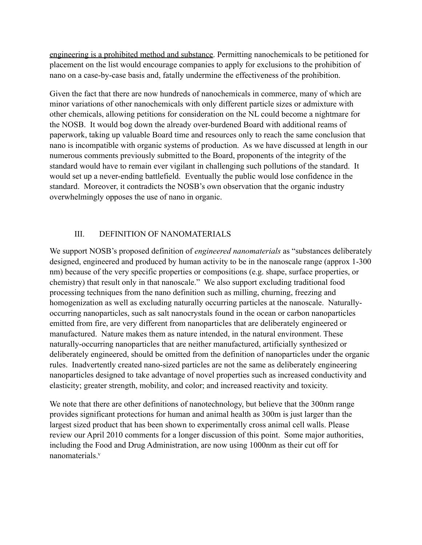engineering is a prohibited method and substance. Permitting nanochemicals to be petitioned for placement on the list would encourage companies to apply for exclusions to the prohibition of nano on a case-by-case basis and, fatally undermine the effectiveness of the prohibition.

Given the fact that there are now hundreds of nanochemicals in commerce, many of which are minor variations of other nanochemicals with only different particle sizes or admixture with other chemicals, allowing petitions for consideration on the NL could become a nightmare for the NOSB. It would bog down the already over-burdened Board with additional reams of paperwork, taking up valuable Board time and resources only to reach the same conclusion that nano is incompatible with organic systems of production. As we have discussed at length in our numerous comments previously submitted to the Board, proponents of the integrity of the standard would have to remain ever vigilant in challenging such pollutions of the standard. It would set up a never-ending battlefield. Eventually the public would lose confidence in the standard. Moreover, it contradicts the NOSB's own observation that the organic industry overwhelmingly opposes the use of nano in organic.

## III. DEFINITION OF NANOMATERIALS

We support NOSB's proposed definition of *engineered nanomaterials* as "substances deliberately designed, engineered and produced by human activity to be in the nanoscale range (approx 1-300 nm) because of the very specific properties or compositions (e.g. shape, surface properties, or chemistry) that result only in that nanoscale." We also support excluding traditional food processing techniques from the nano definition such as milling, churning, freezing and homogenization as well as excluding naturally occurring particles at the nanoscale. Naturallyoccurring nanoparticles, such as salt nanocrystals found in the ocean or carbon nanoparticles emitted from fire, are very different from nanoparticles that are deliberately engineered or manufactured. Nature makes them as nature intended, in the natural environment. These naturally-occurring nanoparticles that are neither manufactured, artificially synthesized or deliberately engineered, should be omitted from the definition of nanoparticles under the organic rules. Inadvertently created nano-sized particles are not the same as deliberately engineering nanoparticles designed to take advantage of novel properties such as increased conductivity and elasticity; greater strength, mobility, and color; and increased reactivity and toxicity.

We note that there are other definitions of nanotechnology, but believe that the 300nm range provides significant protections for human and animal health as 300m is just larger than the largest sized product that has been shown to experimentally cross animal cell walls. Please review our April 2010 comments for a longer discussion of this point. Some major authorities, including the Food and Drug Administration, are now using 1000nm as their cut off for nanomaterials<sup>v</sup>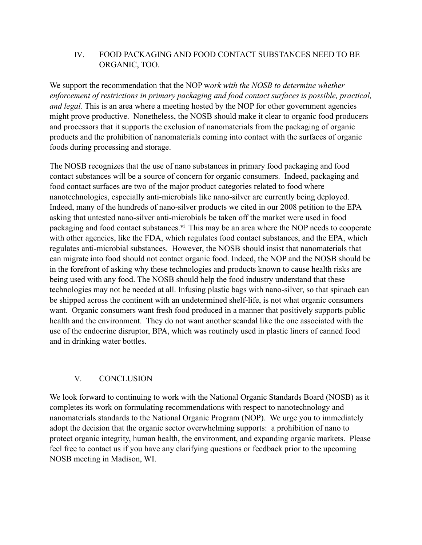## IV. FOOD PACKAGING AND FOOD CONTACT SUBSTANCES NEED TO BE ORGANIC, TOO.

We support the recommendation that the NOP w*ork with the NOSB to determine whether enforcement of restrictions in primary packaging and food contact surfaces is possible, practical, and legal.* This is an area where a meeting hosted by the NOP for other government agencies might prove productive. Nonetheless, the NOSB should make it clear to organic food producers and processors that it supports the exclusion of nanomaterials from the packaging of organic products and the prohibition of nanomaterials coming into contact with the surfaces of organic foods during processing and storage.

The NOSB recognizes that the use of nano substances in primary food packaging and food contact substances will be a source of concern for organic consumers. Indeed, packaging and food contact surfaces are two of the major product categories related to food where nanotechnologies, especially anti-microbials like nano-silver are currently being deployed. Indeed, many of the hundreds of nano-silver products we cited in our 2008 petition to the EPA asking that untested nano-silver anti-microbials be taken off the market were used in food packaging and food contact substances.<sup>vi</sup> This may be an area where the NOP needs to cooperate with other agencies, like the FDA, which regulates food contact substances, and the EPA, which regulates anti-microbial substances. However, the NOSB should insist that nanomaterials that can migrate into food should not contact organic food. Indeed, the NOP and the NOSB should be in the forefront of asking why these technologies and products known to cause health risks are being used with any food. The NOSB should help the food industry understand that these technologies may not be needed at all. Infusing plastic bags with nano-silver, so that spinach can be shipped across the continent with an undetermined shelf-life, is not what organic consumers want. Organic consumers want fresh food produced in a manner that positively supports public health and the environment. They do not want another scandal like the one associated with the use of the endocrine disruptor, BPA, which was routinely used in plastic liners of canned food and in drinking water bottles.

# V. CONCLUSION

We look forward to continuing to work with the National Organic Standards Board (NOSB) as it completes its work on formulating recommendations with respect to nanotechnology and nanomaterials standards to the National Organic Program (NOP). We urge you to immediately adopt the decision that the organic sector overwhelming supports: a prohibition of nano to protect organic integrity, human health, the environment, and expanding organic markets. Please feel free to contact us if you have any clarifying questions or feedback prior to the upcoming NOSB meeting in Madison, WI.